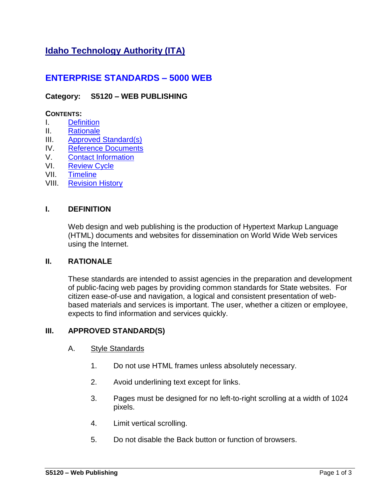# **Idaho Technology Authority (ITA)**

## **ENTERPRISE STANDARDS – 5000 WEB**

## **Category: S5120 – WEB PUBLISHING**

## **CONTENTS:**

- I. [Definition](#page-0-0)
- II. [Rationale](#page-0-1)
- III. [Approved Standard\(s\)](#page-0-2)
- IV. [Reference Documents](#page-1-0)
- V. [Contact Information](#page-2-0)
- VI. [Review Cycle](#page-2-1)
- VII. [Timeline](#page-2-2)
- VIII. [Revision History](#page-2-3)

#### **I. DEFINITION**

<span id="page-0-0"></span>Web design and web publishing is the production of Hypertext Markup Language (HTML) documents and websites for dissemination on World Wide Web services using the Internet.

#### **II. RATIONALE**

<span id="page-0-1"></span>These standards are intended to assist agencies in the preparation and development of public-facing web pages by providing common standards for State websites. For citizen ease-of-use and navigation, a logical and consistent presentation of webbased materials and services is important. The user, whether a citizen or employee, expects to find information and services quickly.

#### **III. APPROVED STANDARD(S)**

#### <span id="page-0-2"></span>A. Style Standards

- 1. Do not use HTML frames unless absolutely necessary.
- 2. Avoid underlining text except for links.
- 3. Pages must be designed for no left-to-right scrolling at a width of 1024 pixels.
- 4. Limit vertical scrolling.
- 5. Do not disable the Back button or function of browsers.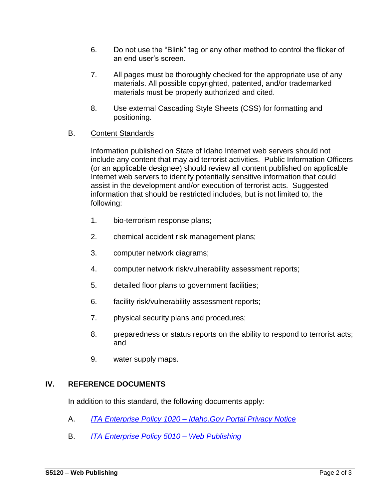- 6. Do not use the "Blink" tag or any other method to control the flicker of an end user's screen.
- 7. All pages must be thoroughly checked for the appropriate use of any materials. All possible copyrighted, patented, and/or trademarked materials must be properly authorized and cited.
- 8. Use external Cascading Style Sheets (CSS) for formatting and positioning.

## B. Content Standards

Information published on State of Idaho Internet web servers should not include any content that may aid terrorist activities. Public Information Officers (or an applicable designee) should review all content published on applicable Internet web servers to identify potentially sensitive information that could assist in the development and/or execution of terrorist acts. Suggested information that should be restricted includes, but is not limited to, the following:

- 1. bio-terrorism response plans;
- 2. chemical accident risk management plans;
- 3. computer network diagrams;
- 4. computer network risk/vulnerability assessment reports;
- 5. detailed floor plans to government facilities;
- 6. facility risk/vulnerability assessment reports;
- 7. physical security plans and procedures;
- 8. preparedness or status reports on the ability to respond to terrorist acts; and
- 9. water supply maps.

## **IV. REFERENCE DOCUMENTS**

<span id="page-1-0"></span>In addition to this standard, the following documents apply:

- A. *ITA Enterprise Policy 1020 – [Idaho.Gov Portal Privacy Notice](http://ita.idaho.gov/psg/p1020.pdf)*
- B. *ITA [Enterprise Policy](http://ita.idaho.gov/psg/p5010.pdf) 5010 – Web Publishing*